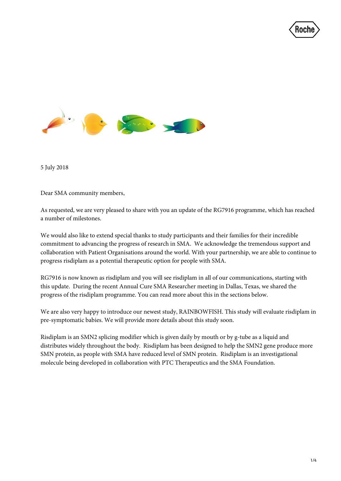



5 July 2018

Dear SMA community members,

As requested, we are very pleased to share with you an update of the RG7916 programme, which has reached a number of milestones.

We would also like to extend special thanks to study participants and their families for their incredible commitment to advancing the progress of research in SMA. We acknowledge the tremendous support and collaboration with Patient Organisations around the world. With your partnership, we are able to continue to progress risdiplam as a potential therapeutic option for people with SMA.

RG7916 is now known as risdiplam and you will see risdiplam in all of our communications, starting with this update. During the recent Annual Cure SMA Researcher meeting in Dallas, Texas, we shared the progress of the risdiplam programme. You can read more about this in the sections below.

We are also very happy to introduce our newest study, RAINBOWFISH. This study will evaluate risdiplam in pre-symptomatic babies. We will provide more details about this study soon.

Risdiplam is an SMN2 splicing modifier which is given daily by mouth or by g-tube as a liquid and distributes widely throughout the body. Risdiplam has been designed to help the SMN2 gene produce more SMN protein, as people with SMA have reduced level of SMN protein. Risdiplam is an investigational molecule being developed in collaboration with PTC Therapeutics and the SMA Foundation.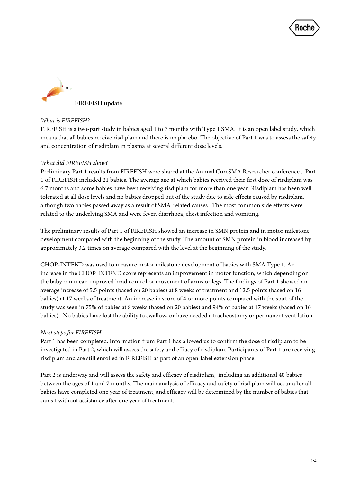



## *What is FIREFISH?*

FIREFISH is a two-part study in babies aged 1 to 7 months with Type 1 SMA. It is an open label study, which means that all babies receive risdiplam and there is no placebo. The objective of Part 1 was to assess the safety and concentration of risdiplam in plasma at several different dose levels.

## *What did FIREFISH show?*

Preliminary Part 1 results from FIREFISH were shared at the Annual CureSMA Researcher conference . Part 1 of FIREFISH included 21 babies. The average age at which babies received their first dose of risdiplam was 6.7 months and some babies have been receiving risdiplam for more than one year. Risdiplam has been well tolerated at all dose levels and no babies dropped out of the study due to side effects caused by risdiplam, although two babies passed away as a result of SMA-related causes. The most common side effects were related to the underlying SMA and were fever, diarrhoea, chest infection and vomiting.

The preliminary results of Part 1 of FIREFISH showed an increase in SMN protein and in motor milestone development compared with the beginning of the study. The amount of SMN protein in blood increased by approximately 3.2 times on average compared with the level at the beginning of the study.

CHOP-INTEND was used to measure motor milestone development of babies with SMA Type 1. An increase in the CHOP-INTEND score represents an improvement in motor function, which depending on the baby can mean improved head control or movement of arms or legs. The findings of Part 1 showed an average increase of 5.5 points (based on 20 babies) at 8 weeks of treatment and 12.5 points (based on 16 babies) at 17 weeks of treatment. An increase in score of 4 or more points compared with the start of the study was seen in 75% of babies at 8 weeks (based on 20 babies) and 94% of babies at 17 weeks (based on 16 babies). No babies have lost the ability to swallow, or have needed a tracheostomy or permanent ventilation.

# *Next steps for FIREFISH*

Part 1 has been completed. Information from Part 1 has allowed us to confirm the dose of risdiplam to be investigated in Part 2, which will assess the safety and effiacy of risdiplam. Participants of Part 1 are receiving risdiplam and are still enrolled in FIREFISH as part of an open-label extension phase.

Part 2 is underway and will assess the safety and efficacy of risdiplam, including an additional 40 babies between the ages of 1 and 7 months. The main analysis of efficacy and safety of risdiplam will occur after all babies have completed one year of treatment, and efficacy will be determined by the number of babies that can sit without assistance after one year of treatment.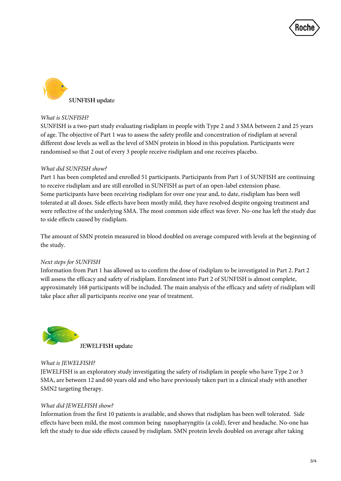



## *What is SUNFISH?*

SUNFISH is a two-part study evaluating risdiplam in people with Type 2 and 3 SMA between 2 and 25 years of age. The objective of Part 1 was to assess the safety profile and concentration of risdiplam at several different dose levels as well as the level of SMN protein in blood in this population. Participants were randomised so that 2 out of every 3 people receive risdiplam and one receives placebo.

# *What did SUNFISH show?*

Part 1 has been completed and enrolled 51 participants. Participants from Part 1 of SUNFISH are continuing to receive risdiplam and are still enrolled in SUNFISH as part of an open-label extension phase. Some participants have been receiving risdiplam for over one year and, to date, risdiplam has been well tolerated at all doses. Side effects have been mostly mild, they have resolved despite ongoing treatment and were reflective of the underlying SMA. The most common side effect was fever. No-one has left the study due to side effects caused by risdiplam.

The amount of SMN protein measured in blood doubled on average compared with levels at the beginning of the study.

### *Next steps for SUNFISH*

Information from Part 1 has allowed us to confirm the dose of risdiplam to be investigated in Part 2. Part 2 will assess the efficacy and safety of risdiplam. Enrolment into Part 2 of SUNFISH is almost complete, approximately 168 participants will be included. The main analysis of the efficacy and safety of risdiplam will take place after all participants receive one year of treatment.



# *What is JEWELFISH?*

JEWELFISH is an exploratory study investigating the safety of risdiplam in people who have Type 2 or 3 SMA, are between 12 and 60 years old and who have previously taken part in a clinical study with another SMN2 targeting therapy.

# *What did JEWELFISH show?*

Information from the first 10 patients is available, and shows that risdiplam has been well tolerated. Side effects have been mild, the most common being nasopharyngitis (a cold), fever and headache. No-one has left the study to due side effects caused by risdiplam. SMN protein levels doubled on average after taking